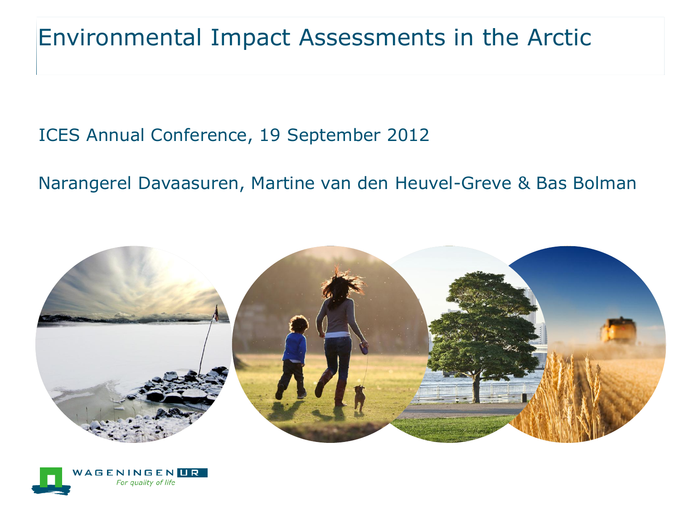#### Environmental Impact Assessments in the Arctic

#### ICES Annual Conference, 19 September 2012

#### Narangerel Davaasuren, Martine van den Heuvel-Greve & Bas Bolman



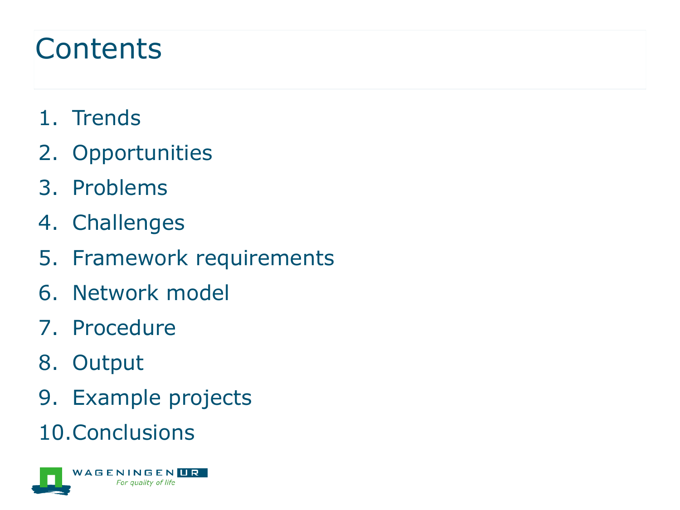#### **Contents**

- 1. Trends
- 2. Opportunities
- 3. Problems
- 4. Challenges
- 5. Framework requirements
- 6. Network model
- 7. Procedure
- 8. Output
- 9. Example projects
- 10.Conclusions

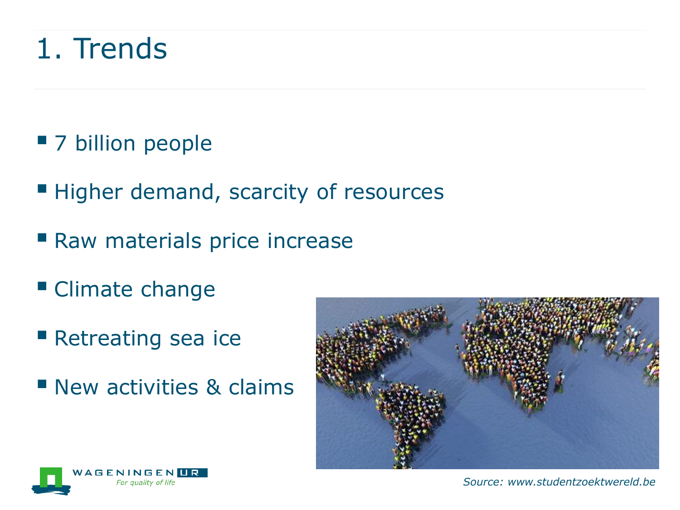#### 1. Trends

- 7 billion people
- **Higher demand, scarcity of resources**
- Raw materials price increase
- **Climate change**
- **Retreating sea ice**
- **New activities & claims**



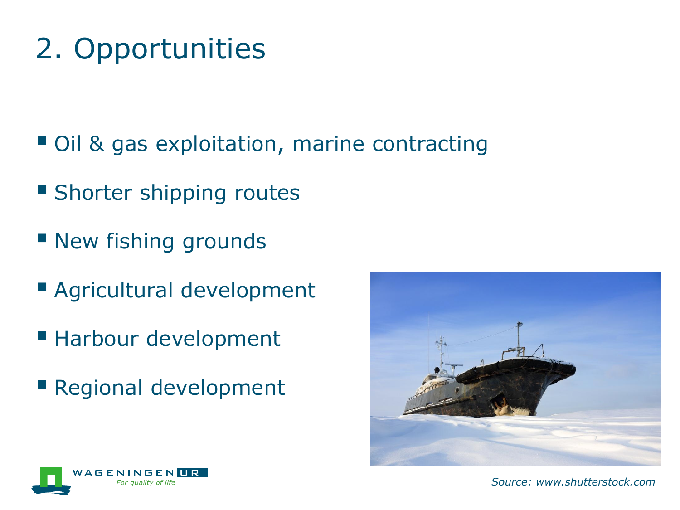## 2. Opportunities

- Oil & gas exploitation, marine contracting
- **Shorter shipping routes**
- **New fishing grounds**
- Agricultural development
- Harbour development
- Regional development





*Source: www.shutterstock.com*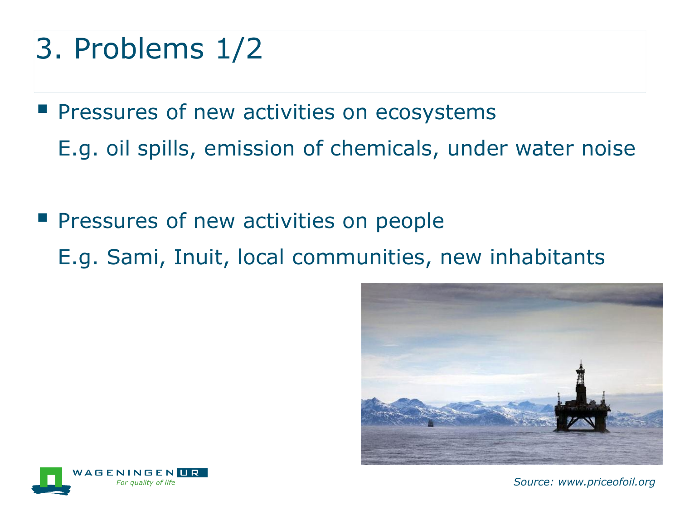- 3. Problems 1/2
- **Pressures of new activities on ecosystems** E.g. oil spills, emission of chemicals, under water noise
- **Pressures of new activities on people** E.g. Sami, Inuit, local communities, new inhabitants





*Source: www.priceofoil.org*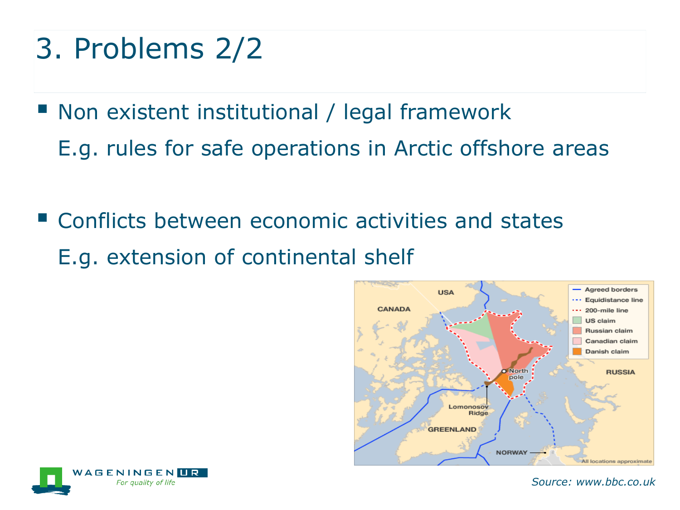### 3. Problems 2/2

- Non existent institutional / legal framework E.g. rules for safe operations in Arctic offshore areas
- **E** Conflicts between economic activities and states E.g. extension of continental shelf





*Source: www.bbc.co.uk*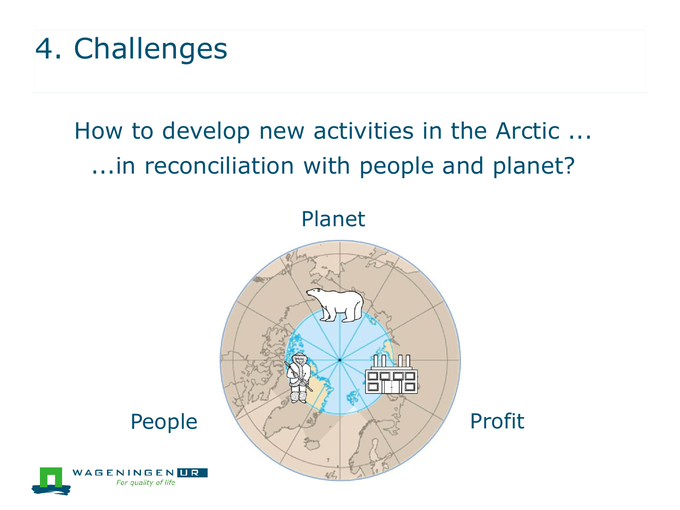# 4. Challenges

#### How to develop new activities in the Arctic ... ...in reconciliation with people and planet?

Planet



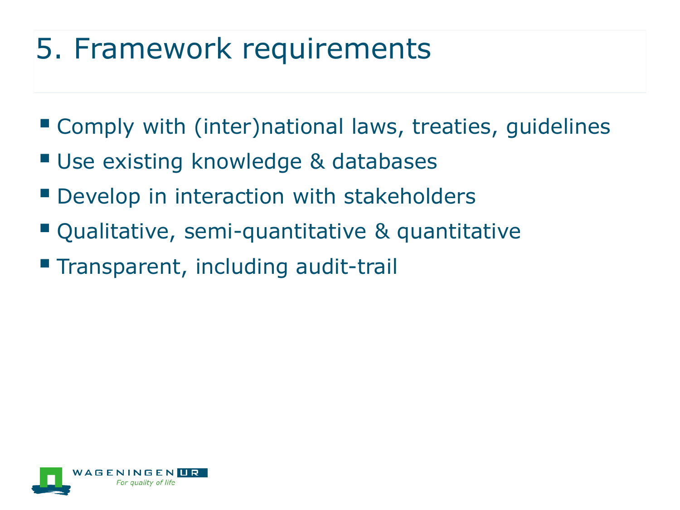# 5. Framework requirements

- Comply with (inter)national laws, treaties, guidelines
- Use existing knowledge & databases
- **P** Develop in interaction with stakeholders
- Qualitative, semi-quantitative & quantitative
- **Transparent, including audit-trail**

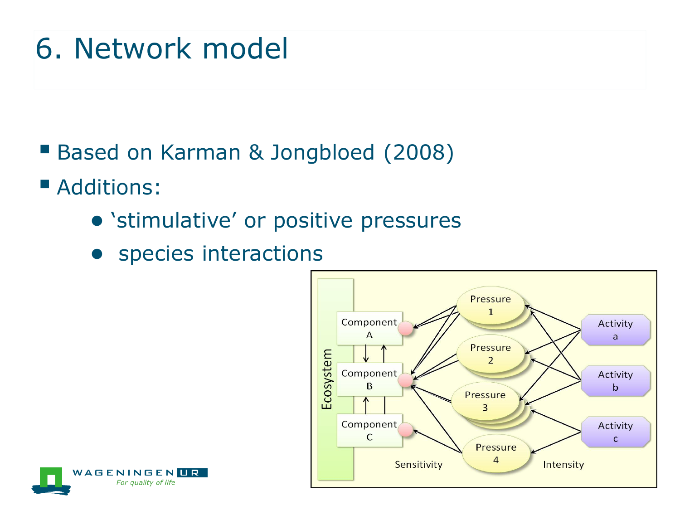### 6. Network model

- Based on Karman & Jongbloed (2008)
- **Additions:** 
	- 'stimulative' or positive pressures
	- species interactions



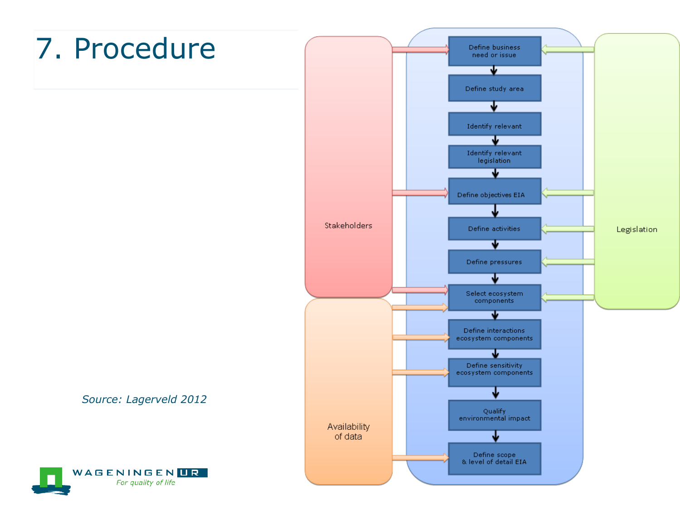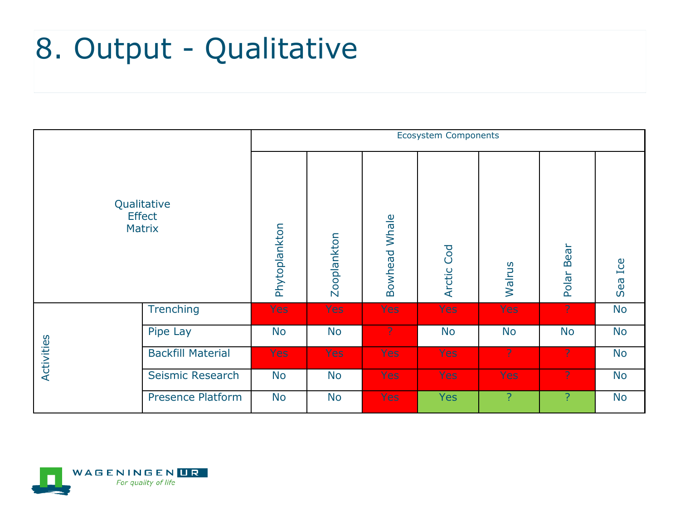#### 8. Output - Qualitative



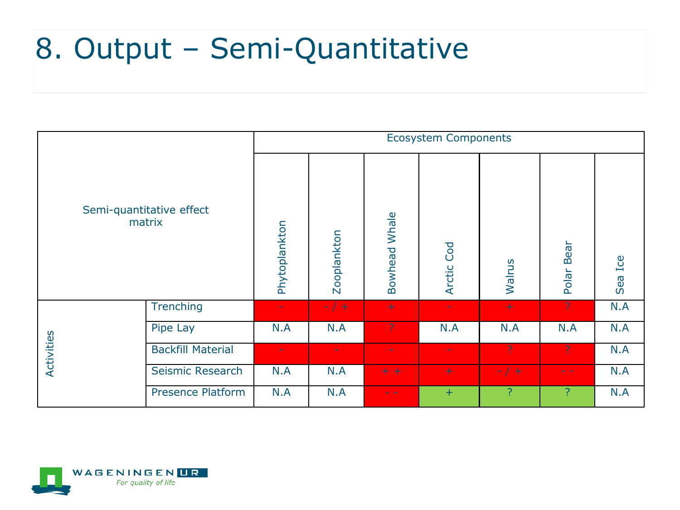#### 8. Output – Semi-Quantitative

| Semi-quantitative effect<br>matrix |                          | <b>Ecosystem Components</b> |             |                      |                   |         |                                       |         |
|------------------------------------|--------------------------|-----------------------------|-------------|----------------------|-------------------|---------|---------------------------------------|---------|
|                                    |                          | Phytoplankton               | Zooplankton | <b>Bowhead Whale</b> | <b>Arctic Cod</b> | Walrus  | Bear<br>Polar                         | Sea Ice |
| Activities                         | <b>Trenching</b>         |                             | $-7+$       | $+$                  |                   | $+$     | $\mathcal{P}$                         | N.A     |
|                                    | Pipe Lay                 | N.A                         | N.A         | ?                    | N.A               | N.A     | N.A                                   | N.A     |
|                                    | <b>Backfill Material</b> | ÷                           | $\sim$      | w.                   | $\sim$            | ?       | ?                                     | N.A     |
|                                    | Seismic Research         | N.A                         | N.A         | $+ +$                | $+$               | $- / +$ | $\omega_{\rm{c}}$ , $\omega_{\rm{c}}$ | N.A     |
|                                    | <b>Presence Platform</b> | N.A                         | N.A         | المنازلين            | $+$               | ?       | P.                                    | N.A     |

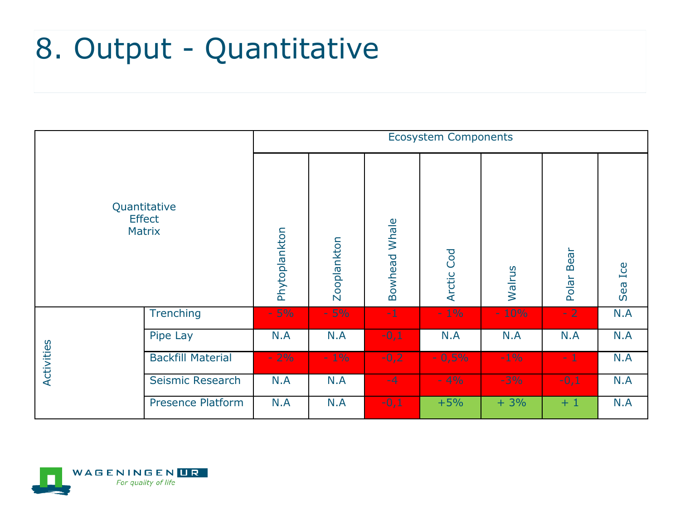### 8. Output - Quantitative

| Quantitative<br><b>Effect</b><br><b>Matrix</b> |                          | <b>Ecosystem Components</b> |             |                      |                      |        |               |         |
|------------------------------------------------|--------------------------|-----------------------------|-------------|----------------------|----------------------|--------|---------------|---------|
|                                                |                          | Phytoplankton               | Zooplankton | <b>Bowhead Whale</b> | Cod<br><b>Arctic</b> | Walrus | Bear<br>Polar | Sea Ice |
| Activities                                     | <b>Trenching</b>         | $-5%$                       | $-5%$       | $-1$                 | $-1\%$               | $-10%$ | $-2$          | N.A     |
|                                                | Pipe Lay                 | N.A                         | N.A         | $-0,1$               | N.A                  | N.A    | N.A           | N.A     |
|                                                | <b>Backfill Material</b> | $-2%$                       | $-1\%$      | $-0,2$               | $-0,5%$              | $-1\%$ | $-1$          | N.A     |
|                                                | Seismic Research         | N.A                         | N.A         | $-4$                 | $-4%$                | $-3%$  | $-0,1$        | N.A     |
|                                                | <b>Presence Platform</b> | N.A                         | N.A         | $-0,1$               | $+5%$                | $+3%$  | $+1$          | N.A     |

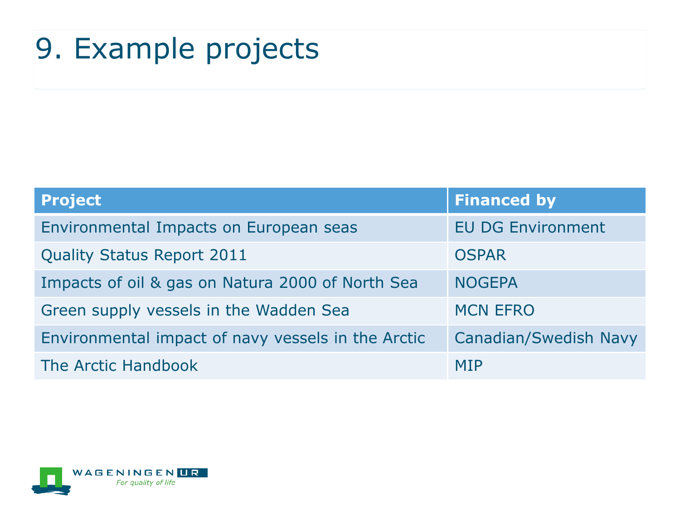### 9. Example projects

| <b>Project</b>                                     | <b>Financed by</b>           |
|----------------------------------------------------|------------------------------|
| Environmental Impacts on European seas             | <b>EU DG Environment</b>     |
| <b>Quality Status Report 2011</b>                  | <b>OSPAR</b>                 |
| Impacts of oil & gas on Natura 2000 of North Sea   | <b>NOGEPA</b>                |
| Green supply vessels in the Wadden Sea             | <b>MCN EFRO</b>              |
| Environmental impact of navy vessels in the Arctic | <b>Canadian/Swedish Navy</b> |
| The Arctic Handbook                                | <b>MIP</b>                   |

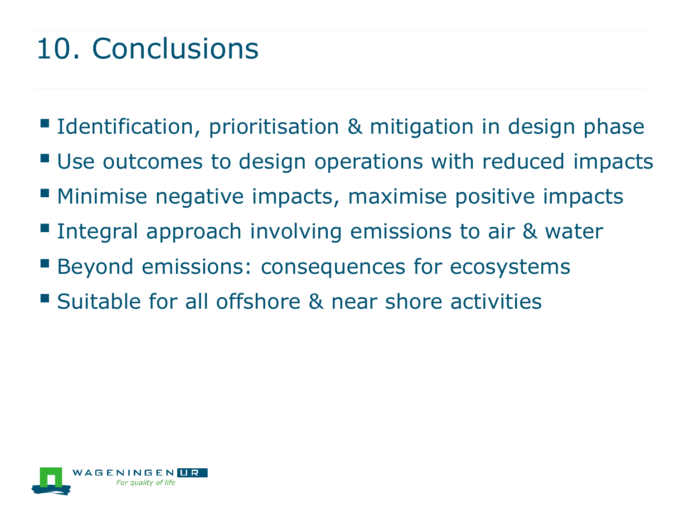### 10. Conclusions

- Identification, prioritisation & mitigation in design phase
- **Use outcomes to design operations with reduced impacts**
- **Minimise negative impacts, maximise positive impacts**
- **Integral approach involving emissions to air & water**
- **Beyond emissions: consequences for ecosystems**
- **Suitable for all offshore & near shore activities**